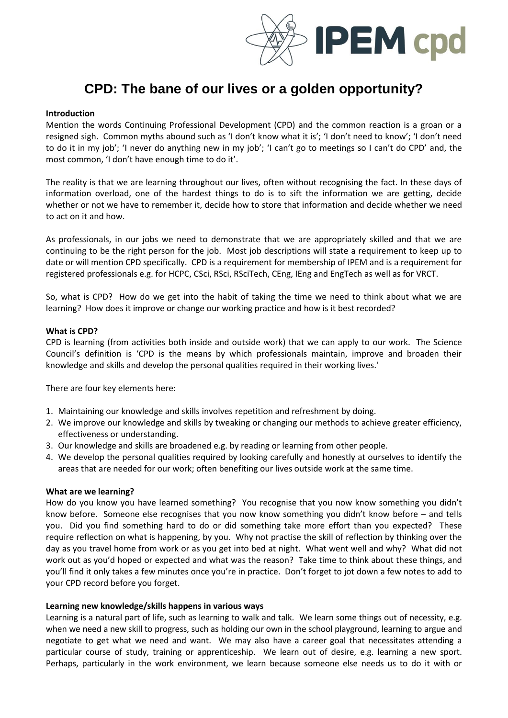

# **CPD: The bane of our lives or a golden opportunity?**

#### **Introduction**

Mention the words Continuing Professional Development (CPD) and the common reaction is a groan or a resigned sigh. Common myths abound such as 'I don't know what it is'; 'I don't need to know'; 'I don't need to do it in my job'; 'I never do anything new in my job'; 'I can't go to meetings so I can't do CPD' and, the most common, 'I don't have enough time to do it'.

The reality is that we are learning throughout our lives, often without recognising the fact. In these days of information overload, one of the hardest things to do is to sift the information we are getting, decide whether or not we have to remember it, decide how to store that information and decide whether we need to act on it and how.

As professionals, in our jobs we need to demonstrate that we are appropriately skilled and that we are continuing to be the right person for the job. Most job descriptions will state a requirement to keep up to date or will mention CPD specifically. CPD is a requirement for membership of IPEM and is a requirement for registered professionals e.g. for HCPC, CSci, RSci, RSciTech, CEng, IEng and EngTech as well as for VRCT.

So, what is CPD? How do we get into the habit of taking the time we need to think about what we are learning? How does it improve or change our working practice and how is it best recorded?

#### **What is CPD?**

CPD is learning (from activities both inside and outside work) that we can apply to our work. The Science Council's definition is 'CPD is the means by which professionals maintain, improve and broaden their knowledge and skills and develop the personal qualities required in their working lives.'

There are four key elements here:

- 1. Maintaining our knowledge and skills involves repetition and refreshment by doing.
- 2. We improve our knowledge and skills by tweaking or changing our methods to achieve greater efficiency, effectiveness or understanding.
- 3. Our knowledge and skills are broadened e.g. by reading or learning from other people.
- 4. We develop the personal qualities required by looking carefully and honestly at ourselves to identify the areas that are needed for our work; often benefiting our lives outside work at the same time.

#### **What are we learning?**

How do you know you have learned something? You recognise that you now know something you didn't know before. Someone else recognises that you now know something you didn't know before – and tells you. Did you find something hard to do or did something take more effort than you expected? These require reflection on what is happening, by you. Why not practise the skill of reflection by thinking over the day as you travel home from work or as you get into bed at night. What went well and why? What did not work out as you'd hoped or expected and what was the reason? Take time to think about these things, and you'll find it only takes a few minutes once you're in practice. Don't forget to jot down a few notes to add to your CPD record before you forget.

#### **Learning new knowledge/skills happens in various ways**

Learning is a natural part of life, such as learning to walk and talk. We learn some things out of necessity, e.g. when we need a new skill to progress, such as holding our own in the school playground, learning to argue and negotiate to get what we need and want. We may also have a career goal that necessitates attending a particular course of study, training or apprenticeship. We learn out of desire, e.g. learning a new sport. Perhaps, particularly in the work environment, we learn because someone else needs us to do it with or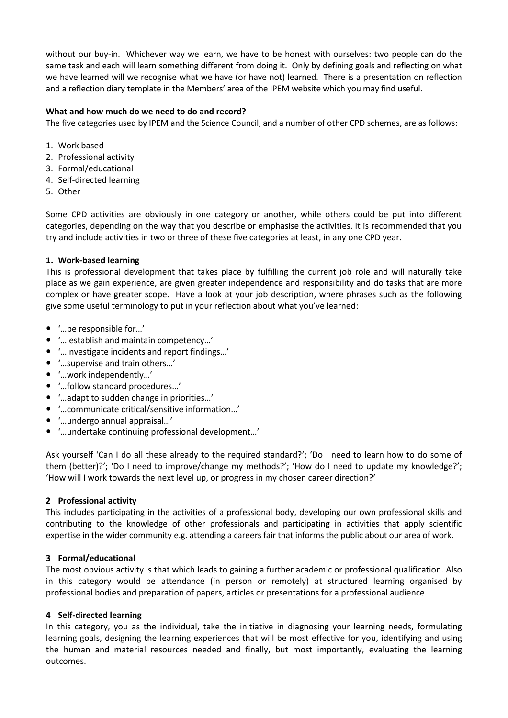without our buy-in. Whichever way we learn, we have to be honest with ourselves: two people can do the same task and each will learn something different from doing it. Only by defining goals and reflecting on what we have learned will we recognise what we have (or have not) learned. There is a presentation on reflection and a reflection diary template in the Members' area of the IPEM website which you may find useful.

# **What and how much do we need to do and record?**

The five categories used by IPEM and the Science Council, and a number of other CPD schemes, are as follows:

- 1. Work based
- 2. Professional activity
- 3. Formal/educational
- 4. Self-directed learning
- 5. Other

Some CPD activities are obviously in one category or another, while others could be put into different categories, depending on the way that you describe or emphasise the activities. It is recommended that you try and include activities in two or three of these five categories at least, in any one CPD year.

# **1. Work-based learning**

This is professional development that takes place by fulfilling the current job role and will naturally take place as we gain experience, are given greater independence and responsibility and do tasks that are more complex or have greater scope. Have a look at your job description, where phrases such as the following give some useful terminology to put in your reflection about what you've learned:

- '…be responsible for…'
- '… establish and maintain competency…'
- '…investigate incidents and report findings…'
- '…supervise and train others…'
- '…work independently…'
- '…follow standard procedures…'
- '…adapt to sudden change in priorities…'
- '…communicate critical/sensitive information…'
- '…undergo annual appraisal…'
- '…undertake continuing professional development…'

Ask yourself 'Can I do all these already to the required standard?'; 'Do I need to learn how to do some of them (better)?'; 'Do I need to improve/change my methods?'; 'How do I need to update my knowledge?'; 'How will I work towards the next level up, or progress in my chosen career direction?'

## **2 Professional activity**

This includes participating in the activities of a professional body, developing our own professional skills and contributing to the knowledge of other professionals and participating in activities that apply scientific expertise in the wider community e.g. attending a careers fair that informs the public about our area of work.

## **3 Formal/educational**

The most obvious activity is that which leads to gaining a further academic or professional qualification. Also in this category would be attendance (in person or remotely) at structured learning organised by professional bodies and preparation of papers, articles or presentations for a professional audience.

## **4 Self-directed learning**

In this category, you as the individual, take the initiative in diagnosing your learning needs, formulating learning goals, designing the learning experiences that will be most effective for you, identifying and using the human and material resources needed and finally, but most importantly, evaluating the learning outcomes.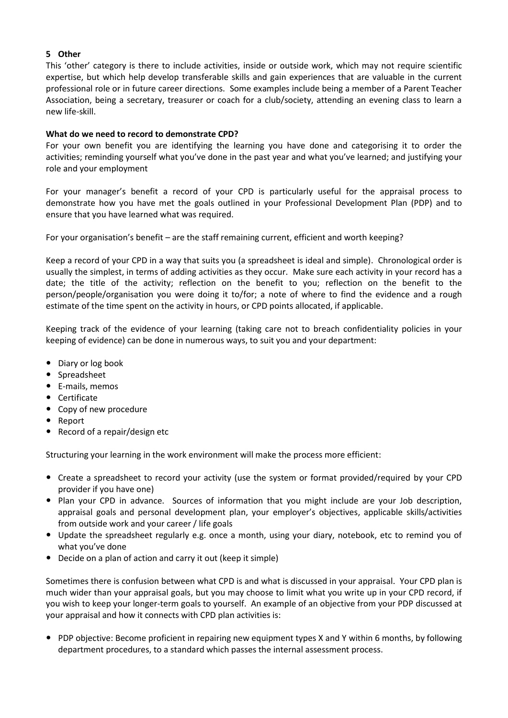# **5 Other**

This 'other' category is there to include activities, inside or outside work, which may not require scientific expertise, but which help develop transferable skills and gain experiences that are valuable in the current professional role or in future career directions. Some examples include being a member of a Parent Teacher Association, being a secretary, treasurer or coach for a club/society, attending an evening class to learn a new life-skill.

## **What do we need to record to demonstrate CPD?**

For your own benefit you are identifying the learning you have done and categorising it to order the activities; reminding yourself what you've done in the past year and what you've learned; and justifying your role and your employment

For your manager's benefit a record of your CPD is particularly useful for the appraisal process to demonstrate how you have met the goals outlined in your Professional Development Plan (PDP) and to ensure that you have learned what was required.

For your organisation's benefit – are the staff remaining current, efficient and worth keeping?

Keep a record of your CPD in a way that suits you (a spreadsheet is ideal and simple). Chronological order is usually the simplest, in terms of adding activities as they occur. Make sure each activity in your record has a date; the title of the activity; reflection on the benefit to you; reflection on the benefit to the person/people/organisation you were doing it to/for; a note of where to find the evidence and a rough estimate of the time spent on the activity in hours, or CPD points allocated, if applicable.

Keeping track of the evidence of your learning (taking care not to breach confidentiality policies in your keeping of evidence) can be done in numerous ways, to suit you and your department:

- Diary or log book
- Spreadsheet
- E-mails, memos
- Certificate
- Copy of new procedure
- Report
- Record of a repair/design etc

Structuring your learning in the work environment will make the process more efficient:

- Create a spreadsheet to record your activity (use the system or format provided/required by your CPD provider if you have one)
- Plan your CPD in advance. Sources of information that you might include are your Job description, appraisal goals and personal development plan, your employer's objectives, applicable skills/activities from outside work and your career / life goals
- Update the spreadsheet regularly e.g. once a month, using your diary, notebook, etc to remind you of what you've done
- Decide on a plan of action and carry it out (keep it simple)

Sometimes there is confusion between what CPD is and what is discussed in your appraisal. Your CPD plan is much wider than your appraisal goals, but you may choose to limit what you write up in your CPD record, if you wish to keep your longer-term goals to yourself. An example of an objective from your PDP discussed at your appraisal and how it connects with CPD plan activities is:

 PDP objective: Become proficient in repairing new equipment types X and Y within 6 months, by following department procedures, to a standard which passes the internal assessment process.